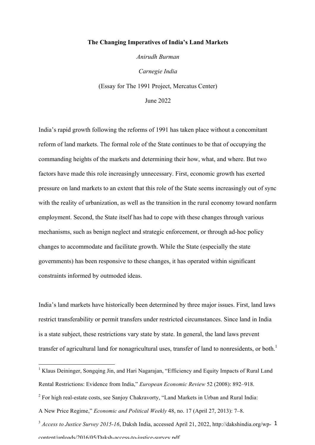#### **The Changing Imperatives of India's Land Markets**

*Anirudh Burman*

*Carnegie India* (Essay for The 1991 Project, Mercatus Center)

June 2022

India's rapid growth following the reforms of 1991 has taken place without a concomitant reform of land markets. The formal role of the State continues to be that of occupying the commanding heights of the markets and determining their how, what, and where. But two factors have made this role increasingly unnecessary. First, economic growth has exerted pressure on land markets to an extent that this role of the State seems increasingly out of sync with the reality of urbanization, as well as the transition in the rural economy toward nonfarm employment. Second, the State itself has had to cope with these changes through various mechanisms, such as benign neglect and strategic enforcement, or through ad-hoc policy changes to accommodate and facilitate growth. While the State (especially the state governments) has been responsive to these changes, it has operated within significant constraints informed by outmoded ideas.

India's land markets have historically been determined by three major issues. First, land laws restrict transferability or permit transfers under restricted circumstances. Since land in India is a state subject, these restrictions vary state by state. In general, the land laws prevent transfer of agricultural land for nonagricultural uses, transfer of land to nonresidents, or both.<sup>1</sup>

<sup>&</sup>lt;sup>1</sup> Klaus Deininger, Songqing Jin, and Hari Nagarajan, "Efficiency and Equity Impacts of Rural Land Rental Restrictions: Evidence from India," *European Economic Review* 52 (2008): 892–918.

<sup>&</sup>lt;sup>2</sup> For high real-estate costs, see Sanjoy Chakravorty, "Land Markets in Urban and Rural India:

A New Price Regime," *Economic and Political Weekly* 48, no. 17 (April 27, 2013): 7–8.

<sup>&</sup>lt;sup>3</sup> *Access to Justice Survey 2015-16*, Daksh India, accessed April 21, 2022, http://dakshindia.org/wp- 1 content/uploads/2016/05/Daksh-access-to-justice-survey.pdf.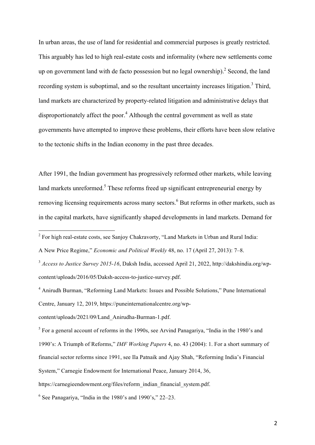In urban areas, the use of land for residential and commercial purposes is greatly restricted. This arguably has led to high real-estate costs and informality (where new settlements come up on government land with de facto possession but no legal ownership). <sup>2</sup> Second, the land recording system is suboptimal, and so the resultant uncertainty increases litigation.<sup>3</sup> Third, land markets are characterized by property-related litigation and administrative delays that disproportionately affect the poor.<sup>4</sup> Although the central government as well as state governments have attempted to improve these problems, their efforts have been slow relative to the tectonic shifts in the Indian economy in the past three decades.

After 1991, the Indian government has progressively reformed other markets, while leaving land markets unreformed.<sup>5</sup> These reforms freed up significant entrepreneurial energy by removing licensing requirements across many sectors.<sup>6</sup> But reforms in other markets, such as in the capital markets, have significantly shaped developments in land markets. Demand for

<sup>&</sup>lt;sup>2</sup> For high real-estate costs, see Sanjoy Chakravorty, "Land Markets in Urban and Rural India:

A New Price Regime," *Economic and Political Weekly* 48, no. 17 (April 27, 2013): 7–8.

<sup>3</sup> *Access to Justice Survey 2015-16*, Daksh India, accessed April 21, 2022, http://dakshindia.org/wpcontent/uploads/2016/05/Daksh-access-to-justice-survey.pdf.

<sup>4</sup> Anirudh Burman, "Reforming Land Markets: Issues and Possible Solutions," Pune International Centre, January 12, 2019, https://puneinternationalcentre.org/wp-

content/uploads/2021/09/Land\_Anirudha-Burman-1.pdf.

<sup>5</sup> For a general account of reforms in the 1990s, see Arvind Panagariya, "India in the 1980's and 1990's: A Triumph of Reforms," *IMF Working Papers* 4, no. 43 (2004): 1. For a short summary of financial sector reforms since 1991, see Ila Patnaik and Ajay Shah, "Reforming India's Financial System," Carnegie Endowment for International Peace, January 2014, 36, https://carnegieendowment.org/files/reform\_indian\_financial\_system.pdf.

 $6$  See Panagariya, "India in the 1980's and 1990's," 22–23.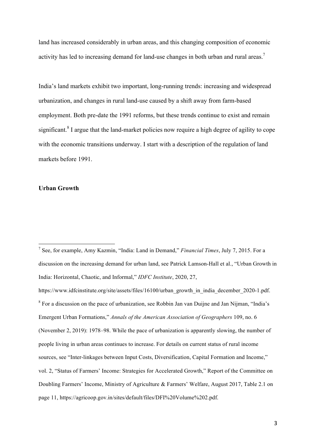land has increased considerably in urban areas, and this changing composition of economic activity has led to increasing demand for land-use changes in both urban and rural areas.<sup>7</sup>

India's land markets exhibit two important, long-running trends: increasing and widespread urbanization, and changes in rural land-use caused by a shift away from farm-based employment. Both pre-date the 1991 reforms, but these trends continue to exist and remain significant.<sup>8</sup> I argue that the land-market policies now require a high degree of agility to cope with the economic transitions underway. I start with a description of the regulation of land markets before 1991.

#### **Urban Growth**

https://www.idfcinstitute.org/site/assets/files/16100/urban\_growth\_in\_india\_december\_2020-1.pdf. <sup>8</sup> For a discussion on the pace of urbanization, see Robbin Jan van Duijne and Jan Nijman, "India's Emergent Urban Formations," *Annals of the American Association of Geographers* 109, no. 6 (November 2, 2019): 1978–98. While the pace of urbanization is apparently slowing, the number of people living in urban areas continues to increase. For details on current status of rural income sources, see "Inter-linkages between Input Costs, Diversification, Capital Formation and Income," vol. 2, "Status of Farmers' Income: Strategies for Accelerated Growth," Report of the Committee on Doubling Farmers' Income, Ministry of Agriculture & Farmers' Welfare, August 2017, Table 2.1 on page 11, https://agricoop.gov.in/sites/default/files/DFI%20Volume%202.pdf.

 <sup>7</sup> See, for example, Amy Kazmin, "India: Land in Demand," *Financial Times*, July 7, 2015. For a discussion on the increasing demand for urban land, see Patrick Lamson-Hall et al., "Urban Growth in India: Horizontal, Chaotic, and Informal," *IDFC Institute*, 2020, 27,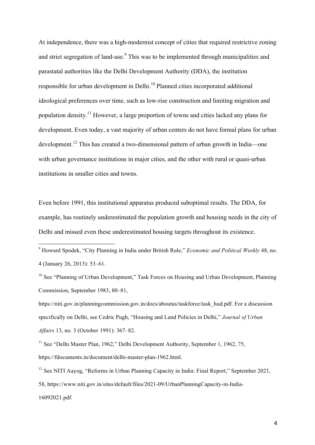At independence, there was a high-modernist concept of cities that required restrictive zoning and strict segregation of land-use.<sup>9</sup> This was to be implemented through municipalities and parastatal authorities like the Delhi Development Authority (DDA), the institution responsible for urban development in Delhi.<sup>10</sup> Planned cities incorporated additional ideological preferences over time, such as low-rise construction and limiting migration and population density.<sup>11</sup> However, a large proportion of towns and cities lacked any plans for development. Even today, a vast majority of urban centers do not have formal plans for urban development.<sup>12</sup> This has created a two-dimensional pattern of urban growth in India—one with urban governance institutions in major cities, and the other with rural or quasi-urban institutions in smaller cities and towns.

Even before 1991, this institutional apparatus produced suboptimal results. The DDA, for example, has routinely underestimated the population growth and housing needs in the city of Delhi and missed even these underestimated housing targets throughout its existence.

 <sup>9</sup> Howard Spodek, "City Planning in India under British Rule," *Economic and Political Weekly* 48, no. 4 (January 26, 2013): 53–61.

 $10$  See "Planning of Urban Development," Task Forces on Housing and Urban Development, Planning Commission, September 1983, 80–81,

https://niti.gov.in/planningcommission.gov.in/docs/aboutus/taskforce/task\_hud.pdf. For a discussion specifically on Delhi, see Cedric Pugh, "Housing and Land Policies in Delhi," *Journal of Urban Affairs* 13, no. 3 (October 1991): 367–82.

 $11$  See "Delhi Master Plan, 1962," Delhi Development Authority, September 1, 1962, 75, https://fdocuments.in/document/delhi-master-plan-1962.html.

<sup>&</sup>lt;sup>12</sup> See NITI Aayog, "Reforms in Urban Planning Capacity in India: Final Report," September 2021, 58, https://www.niti.gov.in/sites/default/files/2021-09/UrbanPlanningCapacity-in-India-16092021.pdf.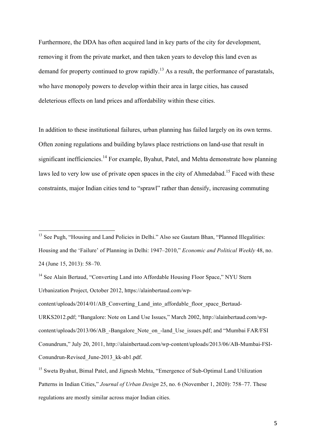Furthermore, the DDA has often acquired land in key parts of the city for development, removing it from the private market, and then taken years to develop this land even as demand for property continued to grow rapidly.<sup>13</sup> As a result, the performance of parastatals, who have monopoly powers to develop within their area in large cities, has caused deleterious effects on land prices and affordability within these cities.

In addition to these institutional failures, urban planning has failed largely on its own terms. Often zoning regulations and building bylaws place restrictions on land-use that result in significant inefficiencies.<sup>14</sup> For example, Byahut, Patel, and Mehta demonstrate how planning laws led to very low use of private open spaces in the city of Ahmedabad.<sup>15</sup> Faced with these constraints, major Indian cities tend to "sprawl" rather than densify, increasing commuting

<sup>&</sup>lt;sup>13</sup> See Pugh, "Housing and Land Policies in Delhi." Also see Gautam Bhan, "Planned Illegalities: Housing and the 'Failure' of Planning in Delhi: 1947–2010," *Economic and Political Weekly* 48, no. 24 (June 15, 2013): 58–70.

<sup>&</sup>lt;sup>14</sup> See Alain Bertaud, "Converting Land into Affordable Housing Floor Space," NYU Stern Urbanization Project, October 2012, https://alainbertaud.com/wp-

content/uploads/2014/01/AB\_Converting\_Land\_into\_affordable\_floor\_space\_Bertaud-

URKS2012.pdf; "Bangalore: Note on Land Use Issues," March 2002, http://alainbertaud.com/wpcontent/uploads/2013/06/AB\_-Bangalore\_Note\_on\_-land\_Use\_issues.pdf; and "Mumbai FAR/FSI Conundrum," July 20, 2011, http://alainbertaud.com/wp-content/uploads/2013/06/AB-Mumbai-FSI-Conundrun-Revised\_June-2013\_kk-ab1.pdf.

<sup>&</sup>lt;sup>15</sup> Sweta Byahut, Bimal Patel, and Jignesh Mehta, "Emergence of Sub-Optimal Land Utilization Patterns in Indian Cities," *Journal of Urban Design* 25, no. 6 (November 1, 2020): 758–77. These regulations are mostly similar across major Indian cities.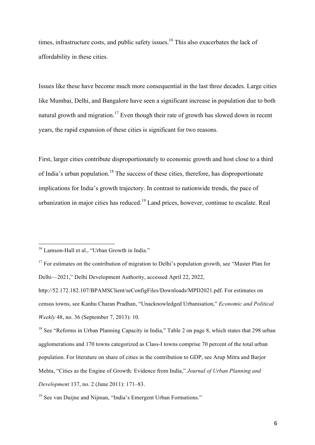times, infrastructure costs, and public safety issues.<sup>16</sup> This also exacerbates the lack of affordability in these cities.

Issues like these have become much more consequential in the last three decades. Large cities like Mumbai, Delhi, and Bangalore have seen a significant increase in population due to both natural growth and migration.<sup>17</sup> Even though their rate of growth has slowed down in recent years, the rapid expansion of these cities is significant for two reasons.

First, larger cities contribute disproportionately to economic growth and host close to a third of India's urban population.18 The success of these cities, therefore, has disproportionate implications for India's growth trajectory. In contrast to nationwide trends, the pace of urbanization in major cities has reduced.<sup>19</sup> Land prices, however, continue to escalate. Real

<sup>&</sup>lt;sup>16</sup> Lamson-Hall et al., "Urban Growth in India."

<sup>&</sup>lt;sup>17</sup> For estimates on the contribution of migration to Delhi's population growth, see "Master Plan for Delhi—2021," Delhi Development Authority, accessed April 22, 2022,

http://52.172.182.107/BPAMSClient/seConfigFiles/Downloads/MPD2021.pdf. For estimates on census towns, see Kanhu Charan Pradhan, "Unacknowledged Urbanisation," *Economic and Political Weekly* 48, no. 36 (September 7, 2013): 10.

<sup>&</sup>lt;sup>18</sup> See "Reforms in Urban Planning Capacity in India," Table 2 on page 8, which states that 298 urban agglomerations and 170 towns categorized as Class-I towns comprise 70 percent of the total urban population. For literature on share of cities in the contribution to GDP, see Arup Mitra and Barjor Mehta, "Cities as the Engine of Growth: Evidence from India," *Journal of Urban Planning and Development* 137, no. 2 (June 2011): 171–83.

<sup>&</sup>lt;sup>19</sup> See van Duijne and Nijman, "India's Emergent Urban Formations."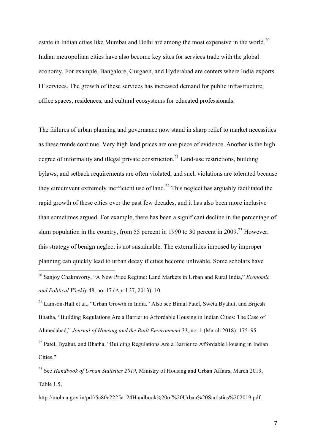estate in Indian cities like Mumbai and Delhi are among the most expensive in the world.<sup>20</sup> Indian metropolitan cities have also become key sites for services trade with the global economy. For example, Bangalore, Gurgaon, and Hyderabad are centers where India exports IT services. The growth of these services has increased demand for public infrastructure, office spaces, residences, and cultural ecosystems for educated professionals.

The failures of urban planning and governance now stand in sharp relief to market necessities as these trends continue. Very high land prices are one piece of evidence. Another is the high degree of informality and illegal private construction.<sup>21</sup> Land-use restrictions, building bylaws, and setback requirements are often violated, and such violations are tolerated because they circumvent extremely inefficient use of land.<sup>22</sup> This neglect has arguably facilitated the rapid growth of these cities over the past few decades, and it has also been more inclusive than sometimes argued. For example, there has been a significant decline in the percentage of slum population in the country, from 55 percent in 1990 to 30 percent in 2009.<sup>23</sup> However, this strategy of benign neglect is not sustainable. The externalities imposed by improper planning can quickly lead to urban decay if cities become unlivable. Some scholars have

 $21$  Lamson-Hall et al., "Urban Growth in India." Also see Bimal Patel, Sweta Byahut, and Brijesh Bhatha, "Building Regulations Are a Barrier to Affordable Housing in Indian Cities: The Case of Ahmedabad," *Journal of Housing and the Built Environment* 33, no. 1 (March 2018): 175–95.

<sup>22</sup> Patel, Byahut, and Bhatha, "Building Regulations Are a Barrier to Affordable Housing in Indian Cities."

http://mohua.gov.in/pdf/5c80e2225a124Handbook%20of%20Urban%20Statistics%202019.pdf.

 <sup>20</sup> Sanjoy Chakravorty, "A New Price Regime: Land Markets in Urban and Rural India," *Economic and Political Weekly* 48, no. 17 (April 27, 2013): 10.

<sup>&</sup>lt;sup>23</sup> See *Handbook of Urban Statistics 2019*, Ministry of Housing and Urban Affairs, March 2019, Table 1.5,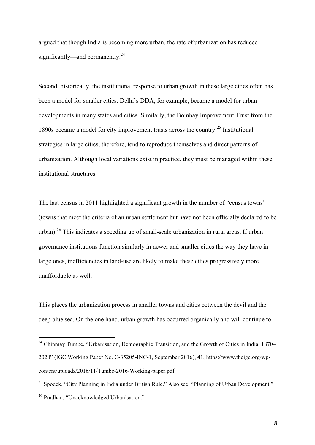argued that though India is becoming more urban, the rate of urbanization has reduced significantly—and permanently.<sup>24</sup>

Second, historically, the institutional response to urban growth in these large cities often has been a model for smaller cities. Delhi's DDA, for example, became a model for urban developments in many states and cities. Similarly, the Bombay Improvement Trust from the 1890s became a model for city improvement trusts across the country.<sup>25</sup> Institutional strategies in large cities, therefore, tend to reproduce themselves and direct patterns of urbanization. Although local variations exist in practice, they must be managed within these institutional structures.

The last census in 2011 highlighted a significant growth in the number of "census towns" (towns that meet the criteria of an urban settlement but have not been officially declared to be urban).<sup>26</sup> This indicates a speeding up of small-scale urbanization in rural areas. If urban governance institutions function similarly in newer and smaller cities the way they have in large ones, inefficiencies in land-use are likely to make these cities progressively more unaffordable as well.

This places the urbanization process in smaller towns and cities between the devil and the deep blue sea. On the one hand, urban growth has occurred organically and will continue to

<sup>&</sup>lt;sup>24</sup> Chinmay Tumbe, "Urbanisation, Demographic Transition, and the Growth of Cities in India, 1870– 2020" (IGC Working Paper No. C-35205-INC-1, September 2016), 41, https://www.theigc.org/wpcontent/uploads/2016/11/Tumbe-2016-Working-paper.pdf.

<sup>&</sup>lt;sup>25</sup> Spodek, "City Planning in India under British Rule." Also see "Planning of Urban Development." <sup>26</sup> Pradhan, "Unacknowledged Urbanisation."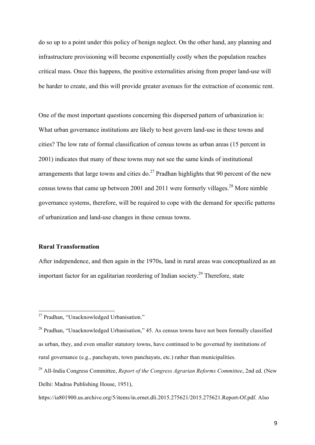do so up to a point under this policy of benign neglect. On the other hand, any planning and infrastructure provisioning will become exponentially costly when the population reaches critical mass. Once this happens, the positive externalities arising from proper land-use will be harder to create, and this will provide greater avenues for the extraction of economic rent.

One of the most important questions concerning this dispersed pattern of urbanization is: What urban governance institutions are likely to best govern land-use in these towns and cities? The low rate of formal classification of census towns as urban areas (15 percent in 2001) indicates that many of these towns may not see the same kinds of institutional arrangements that large towns and cities do.<sup>27</sup> Pradhan highlights that 90 percent of the new census towns that came up between 2001 and 2011 were formerly villages.<sup>28</sup> More nimble governance systems, therefore, will be required to cope with the demand for specific patterns of urbanization and land-use changes in these census towns.

## **Rural Transformation**

After independence, and then again in the 1970s, land in rural areas was conceptualized as an important factor for an egalitarian reordering of Indian society.29 Therefore, state

 $27$  Pradhan, "Unacknowledged Urbanisation."

<sup>&</sup>lt;sup>28</sup> Pradhan, "Unacknowledged Urbanisation," 45. As census towns have not been formally classified as urban, they, and even smaller statutory towns, have continued to be governed by institutions of rural governance (e.g., panchayats, town panchayats, etc.) rather than municipalities.

<sup>29</sup> All-India Congress Committee, *Report of the Congress Agrarian Reforms Committee*, 2nd ed. (New Delhi: Madras Publishing House, 1951),

https://ia801900.us.archive.org/5/items/in.ernet.dli.2015.275621/2015.275621.Report-Of.pdf. Also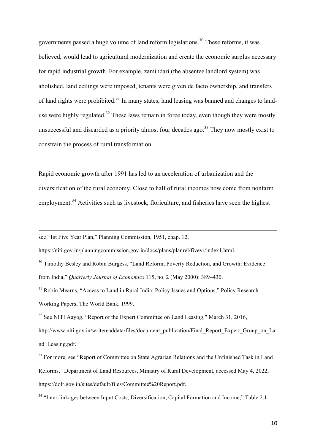governments passed a huge volume of land reform legislations. <sup>30</sup> These reforms, it was believed, would lead to agricultural modernization and create the economic surplus necessary for rapid industrial growth. For example, zamindari (the absentee landlord system) was abolished, land ceilings were imposed, tenants were given de facto ownership, and transfers of land rights were prohibited.<sup>31</sup> In many states, land leasing was banned and changes to landuse were highly regulated.<sup>32</sup> These laws remain in force today, even though they were mostly unsuccessful and discarded as a priority almost four decades ago.<sup>33</sup> They now mostly exist to constrain the process of rural transformation.

Rapid economic growth after 1991 has led to an acceleration of urbanization and the diversification of the rural economy. Close to half of rural incomes now come from nonfarm employment.<sup>34</sup> Activities such as livestock, floriculture, and fisheries have seen the highest

see "1st Five Year Plan," Planning Commission, 1951, chap. 12,

 $\overline{a}$ 

https://niti.gov.in/planningcommission.gov.in/docs/plans/planrel/fiveyr/index1.html.

<sup>30</sup> Timothy Besley and Robin Burgess, "Land Reform, Poverty Reduction, and Growth: Evidence from India," *Quarterly Journal of Economics* 115, no. 2 (May 2000): 389–430.

 $32$  See NITI Aavog, "Report of the Expert Committee on Land Leasing," March 31, 2016,

http://www.niti.gov.in/writereaddata/files/document\_publication/Final\_Report\_Expert\_Group\_on\_La nd\_Leasing.pdf.

<sup>&</sup>lt;sup>31</sup> Robin Mearns, "Access to Land in Rural India: Policy Issues and Options," Policy Research Working Papers, The World Bank, 1999.

<sup>&</sup>lt;sup>33</sup> For more, see "Report of Committee on State Agrarian Relations and the Unfinished Task in Land Reforms," Department of Land Resources, Ministry of Rural Development, accessed May 4, 2022, https://dolr.gov.in/sites/default/files/Committee%20Report.pdf.

<sup>&</sup>lt;sup>34</sup> "Inter-linkages between Input Costs, Diversification, Capital Formation and Income," Table 2.1.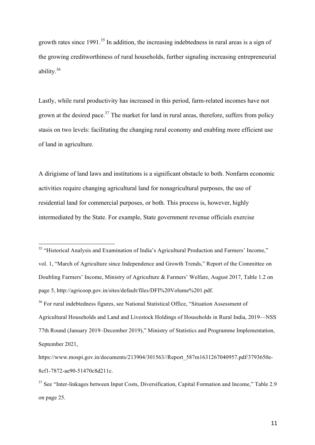growth rates since  $1991$ <sup>35</sup>. In addition, the increasing indebtedness in rural areas is a sign of the growing creditworthiness of rural households, further signaling increasing entrepreneurial ability.36

Lastly, while rural productivity has increased in this period, farm-related incomes have not grown at the desired pace.<sup>37</sup> The market for land in rural areas, therefore, suffers from policy stasis on two levels: facilitating the changing rural economy and enabling more efficient use of land in agriculture.

A dirigisme of land laws and institutions is a significant obstacle to both. Nonfarm economic activities require changing agricultural land for nonagricultural purposes, the use of residential land for commercial purposes, or both. This process is, however, highly intermediated by the State. For example, State government revenue officials exercise

<sup>35</sup> "Historical Analysis and Examination of India's Agricultural Production and Farmers' Income," vol. 1, "March of Agriculture since Independence and Growth Trends," Report of the Committee on Doubling Farmers' Income, Ministry of Agriculture & Farmers' Welfare, August 2017, Table 1.2 on page 5, http://agricoop.gov.in/sites/default/files/DFI%20Volume%201.pdf. <sup>36</sup> For rural indebtedness figures, see National Statistical Office, "Situation Assessment of Agricultural Households and Land and Livestock Holdings of Households in Rural India, 2019—NSS 77th Round (January 2019–December 2019)," Ministry of Statistics and Programme Implementation, September 2021,

https://www.mospi.gov.in/documents/213904/301563//Report\_587m1631267040957.pdf/3793650e-8cf1-7872-ae90-51470c8d211c.

<sup>&</sup>lt;sup>37</sup> See "Inter-linkages between Input Costs, Diversification, Capital Formation and Income," Table 2.9 on page 25.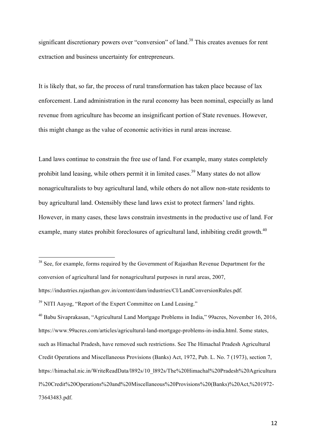significant discretionary powers over "conversion" of land.<sup>38</sup> This creates avenues for rent extraction and business uncertainty for entrepreneurs.

It is likely that, so far, the process of rural transformation has taken place because of lax enforcement. Land administration in the rural economy has been nominal, especially as land revenue from agriculture has become an insignificant portion of State revenues. However, this might change as the value of economic activities in rural areas increase.

Land laws continue to constrain the free use of land. For example, many states completely prohibit land leasing, while others permit it in limited cases.<sup>39</sup> Many states do not allow nonagriculturalists to buy agricultural land, while others do not allow non-state residents to buy agricultural land. Ostensibly these land laws exist to protect farmers' land rights. However, in many cases, these laws constrain investments in the productive use of land. For example, many states prohibit foreclosures of agricultural land, inhibiting credit growth.<sup>40</sup>

<sup>38</sup> See, for example, forms required by the Government of Rajasthan Revenue Department for the conversion of agricultural land for nonagricultural purposes in rural areas, 2007, https://industries.rajasthan.gov.in/content/dam/industries/CI/LandConversionRules.pdf.

<sup>39</sup> NITI Aavog, "Report of the Expert Committee on Land Leasing."

<sup>40</sup> Babu Sivaprakasan, "Agricultural Land Mortgage Problems in India," 99acres, November 16, 2016, https://www.99acres.com/articles/agricultural-land-mortgage-problems-in-india.html. Some states, such as Himachal Pradesh, have removed such restrictions. See The Himachal Pradesh Agricultural Credit Operations and Miscellaneous Provisions (Banks) Act, 1972, Pub. L. No. 7 (1973), section 7, https://himachal.nic.in/WriteReadData/l892s/10\_l892s/The%20Himachal%20Pradesh%20Agricultura l%20Credit%20Operations%20and%20Miscellaneous%20Provisions%20(Banks)%20Act,%201972- 73643483.pdf.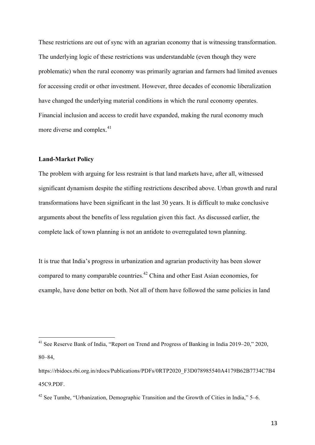These restrictions are out of sync with an agrarian economy that is witnessing transformation. The underlying logic of these restrictions was understandable (even though they were problematic) when the rural economy was primarily agrarian and farmers had limited avenues for accessing credit or other investment. However, three decades of economic liberalization have changed the underlying material conditions in which the rural economy operates. Financial inclusion and access to credit have expanded, making the rural economy much more diverse and complex.<sup>41</sup>

# **Land-Market Policy**

The problem with arguing for less restraint is that land markets have, after all, witnessed significant dynamism despite the stifling restrictions described above. Urban growth and rural transformations have been significant in the last 30 years. It is difficult to make conclusive arguments about the benefits of less regulation given this fact. As discussed earlier, the complete lack of town planning is not an antidote to overregulated town planning.

It is true that India's progress in urbanization and agrarian productivity has been slower compared to many comparable countries.42 China and other East Asian economies, for example, have done better on both. Not all of them have followed the same policies in land

 <sup>41</sup> See Reserve Bank of India, "Report on Trend and Progress of Banking in India 2019–20," 2020, 80–84,

https://rbidocs.rbi.org.in/rdocs/Publications/PDFs/0RTP2020\_F3D078985540A4179B62B7734C7B4 45C9.PDF.

 $42$  See Tumbe, "Urbanization, Demographic Transition and the Growth of Cities in India," 5–6.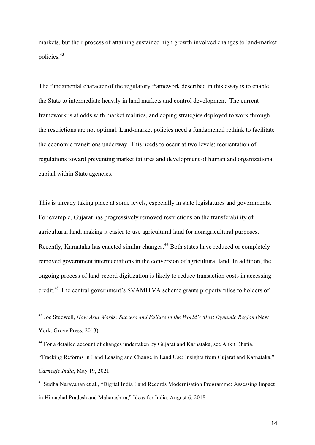markets, but their process of attaining sustained high growth involved changes to land-market policies.<sup>43</sup>

The fundamental character of the regulatory framework described in this essay is to enable the State to intermediate heavily in land markets and control development. The current framework is at odds with market realities, and coping strategies deployed to work through the restrictions are not optimal. Land-market policies need a fundamental rethink to facilitate the economic transitions underway. This needs to occur at two levels: reorientation of regulations toward preventing market failures and development of human and organizational capital within State agencies.

This is already taking place at some levels, especially in state legislatures and governments. For example, Gujarat has progressively removed restrictions on the transferability of agricultural land, making it easier to use agricultural land for nonagricultural purposes. Recently, Karnataka has enacted similar changes.<sup>44</sup> Both states have reduced or completely removed government intermediations in the conversion of agricultural land. In addition, the ongoing process of land-record digitization is likely to reduce transaction costs in accessing credit.45 The central government's SVAMITVA scheme grants property titles to holders of

 <sup>43</sup> Joe Studwell, *How Asia Works: Success and Failure in the World's Most Dynamic Region* (New York: Grove Press, 2013).

<sup>44</sup> For a detailed account of changes undertaken by Gujarat and Karnataka, see Ankit Bhatia,

<sup>&</sup>quot;Tracking Reforms in Land Leasing and Change in Land Use: Insights from Gujarat and Karnataka," *Carnegie India*, May 19, 2021.

<sup>45</sup> Sudha Narayanan et al., "Digital India Land Records Modernisation Programme: Assessing Impact in Himachal Pradesh and Maharashtra," Ideas for India, August 6, 2018.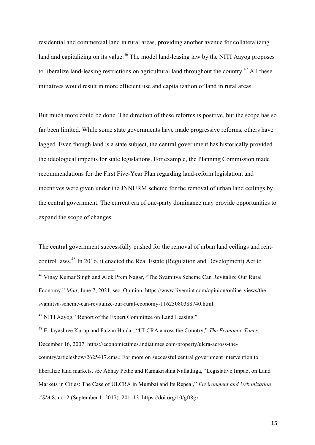residential and commercial land in rural areas, providing another avenue for collateralizing land and capitalizing on its value.<sup>46</sup> The model land-leasing law by the NITI Aavog proposes to liberalize land-leasing restrictions on agricultural land throughout the country.<sup>47</sup> All these initiatives would result in more efficient use and capitalization of land in rural areas.

But much more could be done. The direction of these reforms is positive, but the scope has so far been limited. While some state governments have made progressive reforms, others have lagged. Even though land is a state subject, the central government has historically provided the ideological impetus for state legislations. For example, the Planning Commission made recommendations for the First Five-Year Plan regarding land-reform legislation, and incentives were given under the JNNURM scheme for the removal of urban land ceilings by the central government. The current era of one-party dominance may provide opportunities to expand the scope of changes.

The central government successfully pushed for the removal of urban land ceilings and rentcontrol laws.48 In 2016, it enacted the Real Estate (Regulation and Development) Act to

<sup>48</sup> E. Jayashree Kurup and Faizan Haidar, "ULCRA across the Country," *The Economic Times*, December 16, 2007, https://economictimes.indiatimes.com/property/ulcra-across-thecountry/articleshow/2625417.cms.; For more on successful central government intervention to liberalize land markets, see Abhay Pethe and Ramakrishna Nallathiga, "Legislative Impact on Land Markets in Cities: The Case of ULCRA in Mumbai and Its Repeal," *Environment and Urbanization ASIA* 8, no. 2 (September 1, 2017): 201–13, https://doi.org/10/gft8gx.

 <sup>46</sup> Vinay Kumar Singh and Alok Prem Nagar, "The Svamitva Scheme Can Revitalize Our Rural Economy," *Mint*, June 7, 2021, sec. Opinion, https://www.livemint.com/opinion/online-views/thesvamitva-scheme-can-revitalize-our-rural-economy-11623080388740.html.

<sup>47</sup> NITI Aayog, "Report of the Expert Committee on Land Leasing."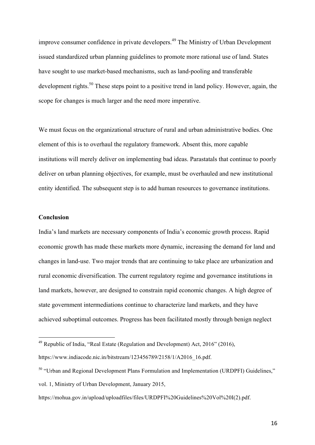improve consumer confidence in private developers.<sup>49</sup> The Ministry of Urban Development issued standardized urban planning guidelines to promote more rational use of land. States have sought to use market-based mechanisms, such as land-pooling and transferable development rights.<sup>50</sup> These steps point to a positive trend in land policy. However, again, the scope for changes is much larger and the need more imperative.

We must focus on the organizational structure of rural and urban administrative bodies. One element of this is to overhaul the regulatory framework. Absent this, more capable institutions will merely deliver on implementing bad ideas. Parastatals that continue to poorly deliver on urban planning objectives, for example, must be overhauled and new institutional entity identified. The subsequent step is to add human resources to governance institutions.

## **Conclusion**

India's land markets are necessary components of India's economic growth process. Rapid economic growth has made these markets more dynamic, increasing the demand for land and changes in land-use. Two major trends that are continuing to take place are urbanization and rural economic diversification. The current regulatory regime and governance institutions in land markets, however, are designed to constrain rapid economic changes. A high degree of state government intermediations continue to characterize land markets, and they have achieved suboptimal outcomes. Progress has been facilitated mostly through benign neglect

 $^{49}$  Republic of India, "Real Estate (Regulation and Development) Act, 2016" (2016),

https://www.indiacode.nic.in/bitstream/123456789/2158/1/A2016\_16.pdf.

<sup>&</sup>lt;sup>50</sup> "Urban and Regional Development Plans Formulation and Implementation (URDPFI) Guidelines," vol. 1, Ministry of Urban Development, January 2015,

https://mohua.gov.in/upload/uploadfiles/files/URDPFI%20Guidelines%20Vol%20I(2).pdf.